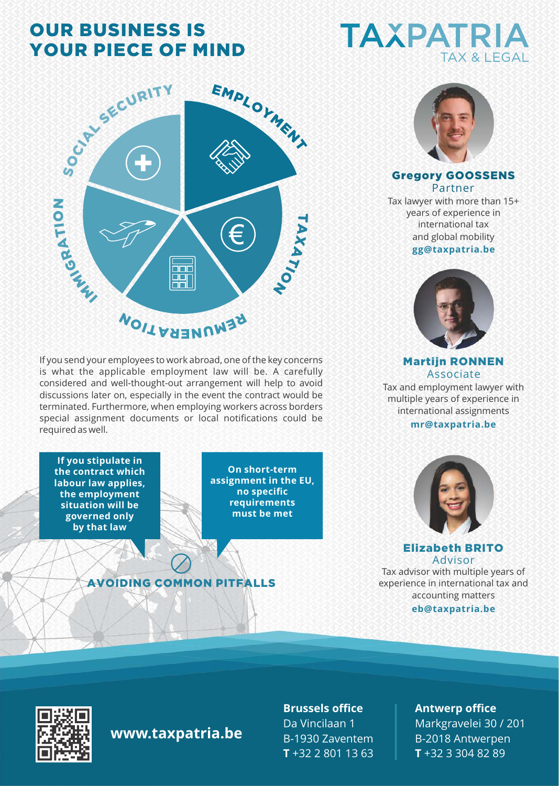## OUR BUSINESS IS YOUR PIECE OF MIND



If you send your employees to work abroad, one of the key concerns is what the applicable employment law will be. A carefully considered and well-thought-out arrangement will help to avoid discussions later on, especially in the event the contract would be terminated. Furthermore, when employing workers across borders special assignment documents or local notifications could be required as well.

**If you stipulate in the contract which labour law applies, the employment situation will be governed only by that law**

**On short-term assignment in the EU, no specific requirements must be met**

#### AVOIDING COMMON PITFALLS





#### Gregory GOOSSENS Partner

**gg@taxpatria.be**  and global mobility Tax lawyer with more than 15+ years of experience in international tax



Martijn RONNEN Associate Tax and employment lawyer with multiple years of experience in international assignments

#### **mr@taxpatria.be**



Elizabeth BRITO Advisor

**eb@taxpatria.be** Tax advisor with multiple years of experience in international tax and accounting matters



#### **www.taxpatria.be**

**Brussels office** Da Vincilaan 1 B-1930 Zaventem **T** +32 2 801 13 63

#### **Antwerp office**

Markgravelei 30 / 201 B-2018 Antwerpen **T** +32 3 304 82 89